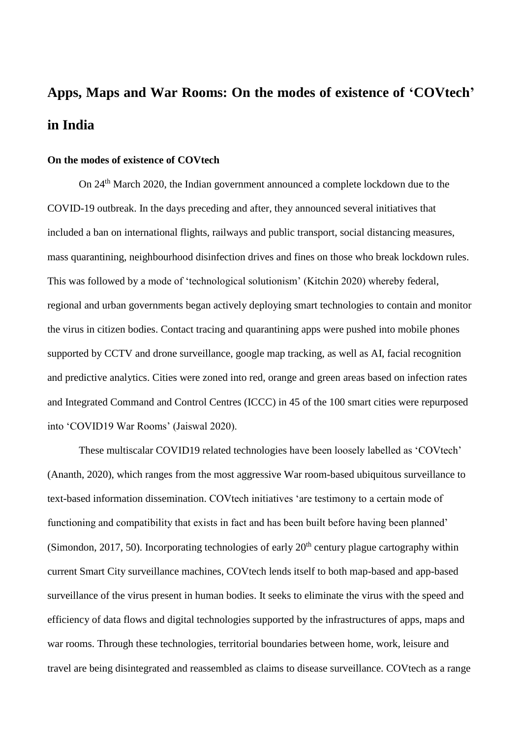# **Apps, Maps and War Rooms: On the modes of existence of 'COVtech' in India**

## **On the modes of existence of COVtech**

On 24th March 2020, the Indian government announced a complete lockdown due to the COVID-19 outbreak. In the days preceding and after, they announced several initiatives that included a ban on international flights, railways and public transport, social distancing measures, mass quarantining, neighbourhood disinfection drives and fines on those who break lockdown rules. This was followed by a mode of 'technological solutionism' (Kitchin 2020) whereby federal, regional and urban governments began actively deploying smart technologies to contain and monitor the virus in citizen bodies. Contact tracing and quarantining apps were pushed into mobile phones supported by CCTV and drone surveillance, google map tracking, as well as AI, facial recognition and predictive analytics. Cities were zoned into red, orange and green areas based on infection rates and Integrated Command and Control Centres (ICCC) in 45 of the 100 smart cities were repurposed into 'COVID19 War Rooms' (Jaiswal 2020).

These multiscalar COVID19 related technologies have been loosely labelled as 'COVtech' (Ananth, 2020), which ranges from the most aggressive War room-based ubiquitous surveillance to text-based information dissemination. COVtech initiatives 'are testimony to a certain mode of functioning and compatibility that exists in fact and has been built before having been planned' (Simondon, 2017, 50). Incorporating technologies of early  $20<sup>th</sup>$  century plague cartography within current Smart City surveillance machines, COVtech lends itself to both map-based and app-based surveillance of the virus present in human bodies. It seeks to eliminate the virus with the speed and efficiency of data flows and digital technologies supported by the infrastructures of apps, maps and war rooms. Through these technologies, territorial boundaries between home, work, leisure and travel are being disintegrated and reassembled as claims to disease surveillance. COVtech as a range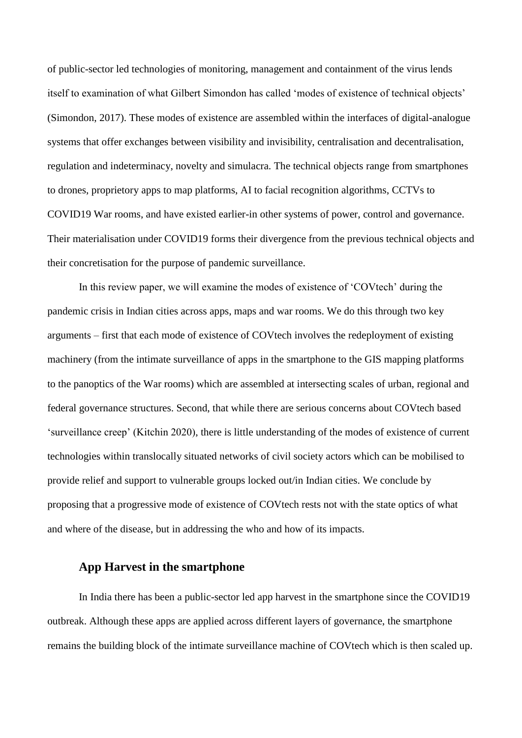of public-sector led technologies of monitoring, management and containment of the virus lends itself to examination of what Gilbert Simondon has called 'modes of existence of technical objects' (Simondon, 2017). These modes of existence are assembled within the interfaces of digital-analogue systems that offer exchanges between visibility and invisibility, centralisation and decentralisation, regulation and indeterminacy, novelty and simulacra. The technical objects range from smartphones to drones, proprietory apps to map platforms, AI to facial recognition algorithms, CCTVs to COVID19 War rooms, and have existed earlier-in other systems of power, control and governance. Their materialisation under COVID19 forms their divergence from the previous technical objects and their concretisation for the purpose of pandemic surveillance.

In this review paper, we will examine the modes of existence of 'COVtech' during the pandemic crisis in Indian cities across apps, maps and war rooms. We do this through two key arguments – first that each mode of existence of COVtech involves the redeployment of existing machinery (from the intimate surveillance of apps in the smartphone to the GIS mapping platforms to the panoptics of the War rooms) which are assembled at intersecting scales of urban, regional and federal governance structures. Second, that while there are serious concerns about COVtech based 'surveillance creep' (Kitchin 2020), there is little understanding of the modes of existence of current technologies within translocally situated networks of civil society actors which can be mobilised to provide relief and support to vulnerable groups locked out/in Indian cities. We conclude by proposing that a progressive mode of existence of COVtech rests not with the state optics of what and where of the disease, but in addressing the who and how of its impacts.

## **App Harvest in the smartphone**

In India there has been a public-sector led app harvest in the smartphone since the COVID19 outbreak. Although these apps are applied across different layers of governance, the smartphone remains the building block of the intimate surveillance machine of COVtech which is then scaled up.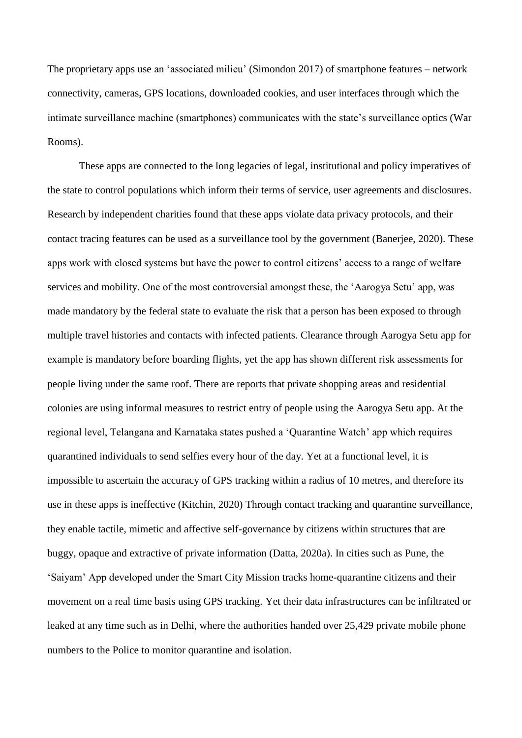The proprietary apps use an 'associated milieu' (Simondon 2017) of smartphone features – network connectivity, cameras, GPS locations, downloaded cookies, and user interfaces through which the intimate surveillance machine (smartphones) communicates with the state's surveillance optics (War Rooms).

These apps are connected to the long legacies of legal, institutional and policy imperatives of the state to control populations which inform their terms of service, user agreements and disclosures. Research by independent charities found that these apps violate data privacy protocols, and their contact tracing features can be used as a surveillance tool by the government (Banerjee, 2020). These apps work with closed systems but have the power to control citizens' access to a range of welfare services and mobility. One of the most controversial amongst these, the 'Aarogya Setu' app, was made mandatory by the federal state to evaluate the risk that a person has been exposed to through multiple travel histories and contacts with infected patients. Clearance through Aarogya Setu app for example is mandatory before boarding flights, yet the app has shown different risk assessments for people living under the same roof. There are reports that private shopping areas and residential colonies are using informal measures to restrict entry of people using the Aarogya Setu app. At the regional level, Telangana and Karnataka states pushed a 'Quarantine Watch' app which requires quarantined individuals to send selfies every hour of the day. Yet at a functional level, it is impossible to ascertain the accuracy of GPS tracking within a radius of 10 metres, and therefore its use in these apps is ineffective (Kitchin, 2020) Through contact tracking and quarantine surveillance, they enable tactile, mimetic and affective self-governance by citizens within structures that are buggy, opaque and extractive of private information (Datta, 2020a). In cities such as Pune, the 'Saiyam' App developed under the Smart City Mission tracks home-quarantine citizens and their movement on a real time basis using GPS tracking. Yet their data infrastructures can be infiltrated or leaked at any time such as in Delhi, where the authorities handed over 25,429 private mobile phone numbers to the Police to monitor quarantine and isolation.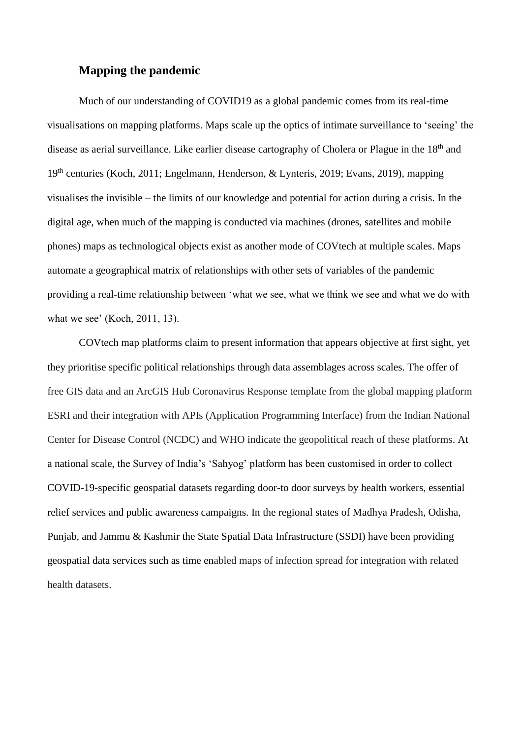# **Mapping the pandemic**

Much of our understanding of COVID19 as a global pandemic comes from its real-time visualisations on mapping platforms. Maps scale up the optics of intimate surveillance to 'seeing' the disease as aerial surveillance. Like earlier disease cartography of Cholera or Plague in the 18<sup>th</sup> and 19th centuries (Koch, 2011; Engelmann, Henderson, & Lynteris, 2019; Evans, 2019), mapping visualises the invisible – the limits of our knowledge and potential for action during a crisis. In the digital age, when much of the mapping is conducted via machines (drones, satellites and mobile phones) maps as technological objects exist as another mode of COVtech at multiple scales. Maps automate a geographical matrix of relationships with other sets of variables of the pandemic providing a real-time relationship between 'what we see, what we think we see and what we do with what we see' (Koch, 2011, 13).

COVtech map platforms claim to present information that appears objective at first sight, yet they prioritise specific political relationships through data assemblages across scales. The offer of free GIS data and an ArcGIS Hub Coronavirus Response template from the global mapping platform ESRI and their integration with APIs (Application Programming Interface) from the Indian National Center for Disease Control (NCDC) and WHO indicate the geopolitical reach of these platforms. At a national scale, the Survey of India's 'Sahyog' platform has been customised in order to collect COVID-19-specific geospatial datasets regarding door-to door surveys by health workers, essential relief services and public awareness campaigns. In the regional states of Madhya Pradesh, Odisha, Punjab, and Jammu & Kashmir the State Spatial Data Infrastructure (SSDI) have been providing geospatial data services such as time enabled maps of infection spread for integration with related health datasets.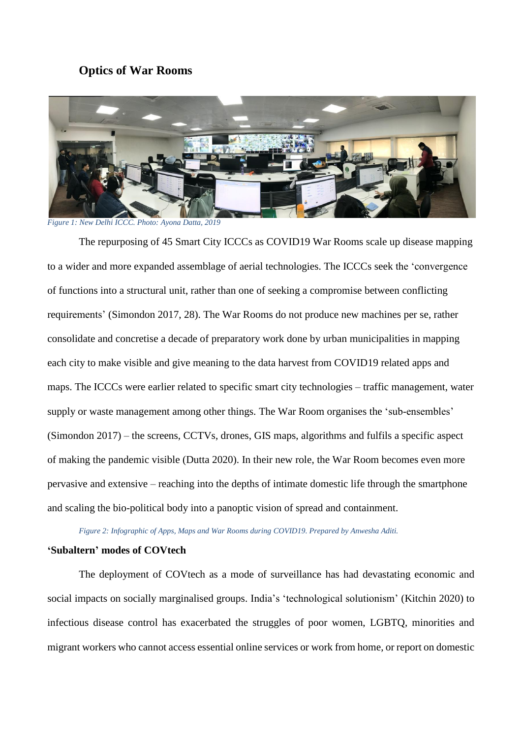## **Optics of War Rooms**



*Figure 1: New Delhi ICCC. Photo: Ayona Datta, 2019*

The repurposing of 45 Smart City ICCCs as COVID19 War Rooms scale up disease mapping to a wider and more expanded assemblage of aerial technologies. The ICCCs seek the 'convergence of functions into a structural unit, rather than one of seeking a compromise between conflicting requirements' (Simondon 2017, 28). The War Rooms do not produce new machines per se, rather consolidate and concretise a decade of preparatory work done by urban municipalities in mapping each city to make visible and give meaning to the data harvest from COVID19 related apps and maps. The ICCCs were earlier related to specific smart city technologies – traffic management, water supply or waste management among other things. The War Room organises the 'sub-ensembles' (Simondon 2017) – the screens, CCTVs, drones, GIS maps, algorithms and fulfils a specific aspect of making the pandemic visible (Dutta 2020). In their new role, the War Room becomes even more pervasive and extensive – reaching into the depths of intimate domestic life through the smartphone and scaling the bio-political body into a panoptic vision of spread and containment.

*Figure 2: Infographic of Apps, Maps and War Rooms during COVID19. Prepared by Anwesha Aditi.*

### **'Subaltern' modes of COVtech**

The deployment of COVtech as a mode of surveillance has had devastating economic and social impacts on socially marginalised groups. India's 'technological solutionism' (Kitchin 2020) to infectious disease control has exacerbated the struggles of poor women, LGBTQ, minorities and migrant workers who cannot access essential online services or work from home, or report on domestic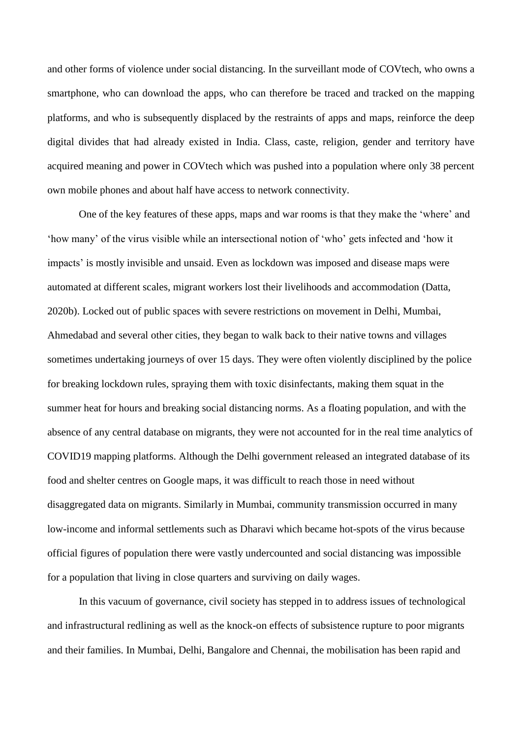and other forms of violence under social distancing. In the surveillant mode of COVtech, who owns a smartphone, who can download the apps, who can therefore be traced and tracked on the mapping platforms, and who is subsequently displaced by the restraints of apps and maps, reinforce the deep digital divides that had already existed in India. Class, caste, religion, gender and territory have acquired meaning and power in COVtech which was pushed into a population where only 38 percent own mobile phones and about half have access to network connectivity.

One of the key features of these apps, maps and war rooms is that they make the 'where' and 'how many' of the virus visible while an intersectional notion of 'who' gets infected and 'how it impacts' is mostly invisible and unsaid. Even as lockdown was imposed and disease maps were automated at different scales, migrant workers lost their livelihoods and accommodation (Datta, 2020b). Locked out of public spaces with severe restrictions on movement in Delhi, Mumbai, Ahmedabad and several other cities, they began to walk back to their native towns and villages sometimes undertaking journeys of over 15 days. They were often violently disciplined by the police for breaking lockdown rules, spraying them with toxic disinfectants, making them squat in the summer heat for hours and breaking social distancing norms. As a floating population, and with the absence of any central database on migrants, they were not accounted for in the real time analytics of COVID19 mapping platforms. Although the Delhi government released an integrated database of its food and shelter centres on Google maps, it was difficult to reach those in need without disaggregated data on migrants. Similarly in Mumbai, community transmission occurred in many low-income and informal settlements such as Dharavi which became hot-spots of the virus because official figures of population there were vastly undercounted and social distancing was impossible for a population that living in close quarters and surviving on daily wages.

In this vacuum of governance, civil society has stepped in to address issues of technological and infrastructural redlining as well as the knock-on effects of subsistence rupture to poor migrants and their families. In Mumbai, Delhi, Bangalore and Chennai, the mobilisation has been rapid and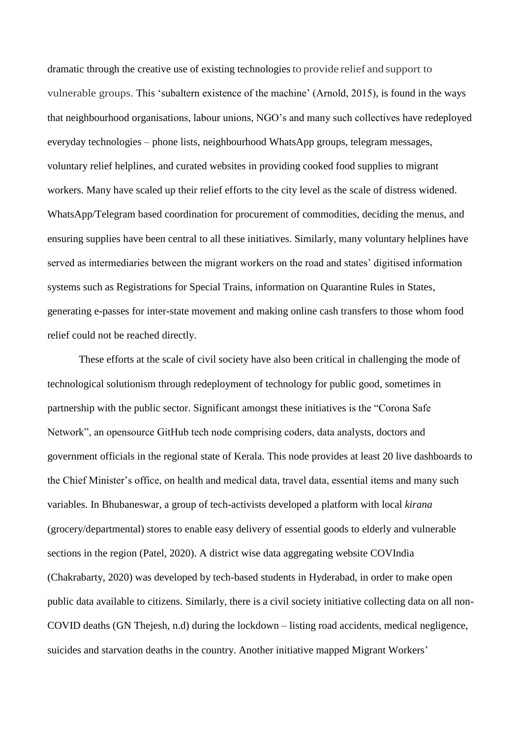dramatic through the creative use of existing technologies to provide relief and support to vulnerable groups. This 'subaltern existence of the machine' (Arnold, 2015), is found in the ways that neighbourhood organisations, labour unions, NGO's and many such collectives have redeployed everyday technologies – phone lists, neighbourhood WhatsApp groups, telegram messages, voluntary relief helplines, and curated websites in providing cooked food supplies to migrant workers. Many have scaled up their relief efforts to the city level as the scale of distress widened. WhatsApp/Telegram based coordination for procurement of commodities, deciding the menus, and ensuring supplies have been central to all these initiatives. Similarly, many voluntary helplines have served as intermediaries between the migrant workers on the road and states' digitised information systems such as Registrations for Special Trains, information on Quarantine Rules in States, generating e-passes for inter-state movement and making online cash transfers to those whom food relief could not be reached directly.

These efforts at the scale of civil society have also been critical in challenging the mode of technological solutionism through redeployment of technology for public good, sometimes in partnership with the public sector. Significant amongst these initiatives is the "Corona Safe Network", an opensource GitHub tech node comprising coders, data analysts, doctors and government officials in the regional state of Kerala. This node provides at least 20 live dashboards to the Chief Minister's office, on health and medical data, travel data, essential items and many such variables. In Bhubaneswar, a group of tech-activists developed a platform with local *kirana* (grocery/departmental) stores to enable easy delivery of essential goods to elderly and vulnerable sections in the region (Patel, 2020). A district wise data aggregating website COVIndia (Chakrabarty, 2020) was developed by tech-based students in Hyderabad, in order to make open public data available to citizens. Similarly, there is a civil society initiative collecting data on all non-COVID deaths (GN Thejesh, n.d) during the lockdown – listing road accidents, medical negligence, suicides and starvation deaths in the country. Another initiative mapped Migrant Workers'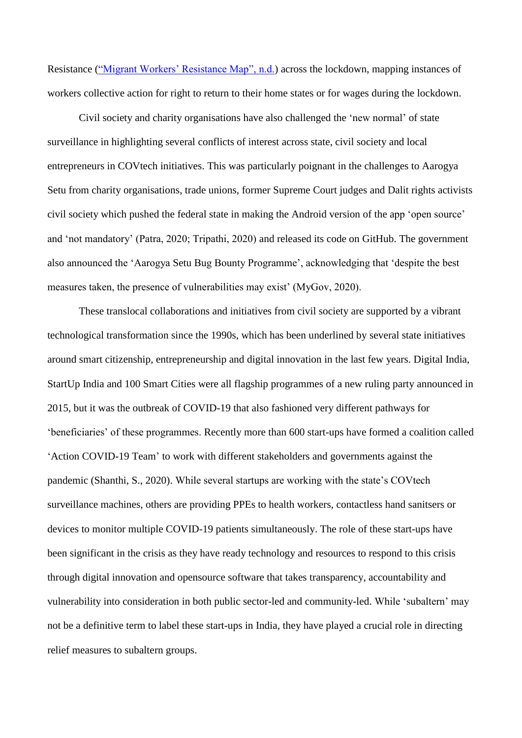Resistance ("Migrant Workers' Resistance Map", n.d.) across the lockdown, mapping instances of workers collective action for right to return to their home states or for wages during the lockdown.

Civil society and charity organisations have also challenged the 'new normal' of state surveillance in highlighting several conflicts of interest across state, civil society and local entrepreneurs in COVtech initiatives. This was particularly poignant in the challenges to Aarogya Setu from charity organisations, trade unions, former Supreme Court judges and Dalit rights activists civil society which pushed the federal state in making the Android version of the app 'open source' and 'not mandatory' (Patra, 2020; Tripathi, 2020) and released its code on GitHub. The government also announced the 'Aarogya Setu Bug Bounty Programme', acknowledging that 'despite the best measures taken, the presence of vulnerabilities may exist' (MyGov, 2020).

These translocal collaborations and initiatives from civil society are supported by a vibrant technological transformation since the 1990s, which has been underlined by several state initiatives around smart citizenship, entrepreneurship and digital innovation in the last few years. Digital India, StartUp India and 100 Smart Cities were all flagship programmes of a new ruling party announced in 2015, but it was the outbreak of COVID-19 that also fashioned very different pathways for 'beneficiaries' of these programmes. Recently more than 600 start-ups have formed a coalition called 'Action COVID-19 Team' to work with different stakeholders and governments against the pandemic (Shanthi, S., 2020). While several startups are working with the state's COVtech surveillance machines, others are providing PPEs to health workers, contactless hand sanitsers or devices to monitor multiple COVID-19 patients simultaneously. The role of these start-ups have been significant in the crisis as they have ready technology and resources to respond to this crisis through digital innovation and opensource software that takes transparency, accountability and vulnerability into consideration in both public sector-led and community-led. While 'subaltern' may not be a definitive term to label these start-ups in India, they have played a crucial role in directing relief measures to subaltern groups.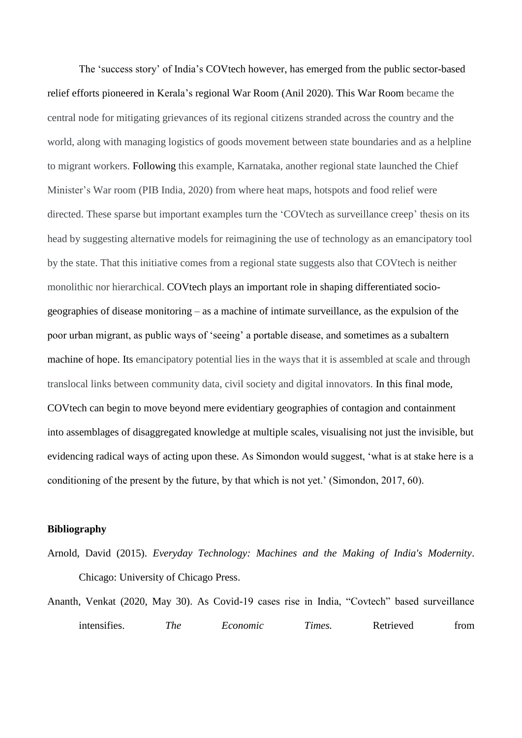The 'success story' of India's COVtech however, has emerged from the public sector-based relief efforts pioneered in Kerala's regional War Room (Anil 2020). This War Room became the central node for mitigating grievances of its regional citizens stranded across the country and the world, along with managing logistics of goods movement between state boundaries and as a helpline to migrant workers. Following this example, Karnataka, another regional state launched the Chief Minister's War room (PIB India, 2020) from where heat maps, hotspots and food relief were directed. These sparse but important examples turn the 'COVtech as surveillance creep' thesis on its head by suggesting alternative models for reimagining the use of technology as an emancipatory tool by the state. That this initiative comes from a regional state suggests also that COVtech is neither monolithic nor hierarchical. COVtech plays an important role in shaping differentiated sociogeographies of disease monitoring – as a machine of intimate surveillance, as the expulsion of the poor urban migrant, as public ways of 'seeing' a portable disease, and sometimes as a subaltern machine of hope. Its emancipatory potential lies in the ways that it is assembled at scale and through translocal links between community data, civil society and digital innovators. In this final mode, COVtech can begin to move beyond mere evidentiary geographies of contagion and containment into assemblages of disaggregated knowledge at multiple scales, visualising not just the invisible, but evidencing radical ways of acting upon these. As Simondon would suggest, 'what is at stake here is a conditioning of the present by the future, by that which is not yet.' (Simondon, 2017, 60).

### **Bibliography**

- Arnold, David (2015). *Everyday Technology: Machines and the Making of India's Modernity*. Chicago: University of Chicago Press.
- Ananth, Venkat (2020, May 30). As Covid-19 cases rise in India, "Covtech" based surveillance intensifies. *The Econo[m](%20)ic Times*. Retrieved from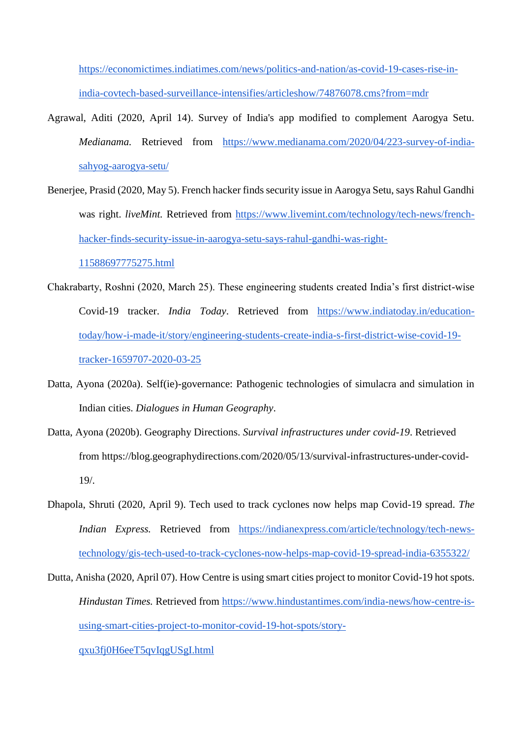[https://economictimes.indiatimes.com/news/politics-and-nation/as-covid-19-cases-rise-in](https://economictimes.indiatimes.com/news/politics-and-nation/as-covid-19-cases-rise-in-india-covtech-based-surveillance-intensifies/articleshow/74876078.cms?from=mdr)[india-covtech-based-surveillance-intensifies/articleshow/74876078.cms?from=mdr](https://economictimes.indiatimes.com/news/politics-and-nation/as-covid-19-cases-rise-in-india-covtech-based-surveillance-intensifies/articleshow/74876078.cms?from=mdr)

- Agrawal, Aditi (2020, April 14). Survey of India's app modified to complement Aarogya Setu. *Medianama.* Retrieved from [https://www.medianama.com/2020/04/223-survey-of-india](https://www.medianama.com/2020/04/223-survey-of-india-sahyog-aarogya-setu/)[sahyog-aarogya-setu/](https://www.medianama.com/2020/04/223-survey-of-india-sahyog-aarogya-setu/)
- Benerjee, Prasid (2020, May 5). French hacker finds security issue in Aarogya Setu, says Rahul Gandhi was right. *liveMint*. Retrieved fro[m](https://www.livemint.com/technology/tech-news/french-hacker-finds-security-issue-in-aarogya-setu-says-rahul-gandhi-was-right-11588697775275.html) [https://www.livemint.com/technology/tech-news/french](https://www.livemint.com/technology/tech-news/french-hacker-finds-security-issue-in-aarogya-setu-says-rahul-gandhi-was-right-11588697775275.html)[hacker-finds-security-issue-in-aarogya-setu-says-rahul-gandhi-was-right-](https://www.livemint.com/technology/tech-news/french-hacker-finds-security-issue-in-aarogya-setu-says-rahul-gandhi-was-right-11588697775275.html)[11588697775275.html](https://www.livemint.com/technology/tech-news/french-hacker-finds-security-issue-in-aarogya-setu-says-rahul-gandhi-was-right-11588697775275.html)
- Chakrabarty, Roshni (2020, March 25). These engineering students created India's first district-wise Covid-19 tracker. *India Today*. Retrieved fro[m](https://www.indiatoday.in/education-today/how-i-made-it/story/engineering-students-create-india-s-first-district-wise-covid-19-tracker-1659707-2020-03-25) [https://www.indiatoday.in/education](https://www.indiatoday.in/education-today/how-i-made-it/story/engineering-students-create-india-s-first-district-wise-covid-19-tracker-1659707-2020-03-25)[today/how-i-made-it/story/engineering-students-create-india-s-first-district-wise-covid-19](https://www.indiatoday.in/education-today/how-i-made-it/story/engineering-students-create-india-s-first-district-wise-covid-19-tracker-1659707-2020-03-25) [tracker-1659707-2020-03-25](https://www.indiatoday.in/education-today/how-i-made-it/story/engineering-students-create-india-s-first-district-wise-covid-19-tracker-1659707-2020-03-25)
- Datta, Ayona (2020a). Self(ie)-governance: Pathogenic technologies of simulacra and simulation in Indian cities. *Dialogues in Human Geography*.
- Datta, Ayona (2020b). Geography Directions. *Survival infrastructures under covid-19*. Retrieved from https://blog.geographydirections.com/2020/05/13/survival-infrastructures-under-covid-19/.
- Dhapola, Shruti (2020, April 9). Tech used to track cyclones now helps map Covid-19 spread. *The Indian Express.* Retrieved from [https://indianexpress.com/article/technology/tech-news](https://indianexpress.com/article/technology/tech-news-technology/gis-tech-used-to-track-cyclones-now-helps-map-covid-19-spread-india-6355322/)[technology/gis-tech-used-to-track-cyclones-now-helps-map-covid-19-spread-india-6355322/](https://indianexpress.com/article/technology/tech-news-technology/gis-tech-used-to-track-cyclones-now-helps-map-covid-19-spread-india-6355322/)
- Dutta, Anisha (2020, April 07). How Centre is using smart cities project to monitor Covid-19 hot spots. *Hindustan Times.* Retrieved from [https://www.hindustantimes.com/india-news/how-centre-is](https://www.hindustantimes.com/india-news/how-centre-is-using-smart-cities-project-to-monitor-covid-19-hot-spots/story-qxu3fj0H6eeT5qvIqgUSgI.html)[using-smart-cities-project-to-monitor-covid-19-hot-spots/story-](https://www.hindustantimes.com/india-news/how-centre-is-using-smart-cities-project-to-monitor-covid-19-hot-spots/story-qxu3fj0H6eeT5qvIqgUSgI.html)

[qxu3fj0H6eeT5qvIqgUSgI.html](https://www.hindustantimes.com/india-news/how-centre-is-using-smart-cities-project-to-monitor-covid-19-hot-spots/story-qxu3fj0H6eeT5qvIqgUSgI.html)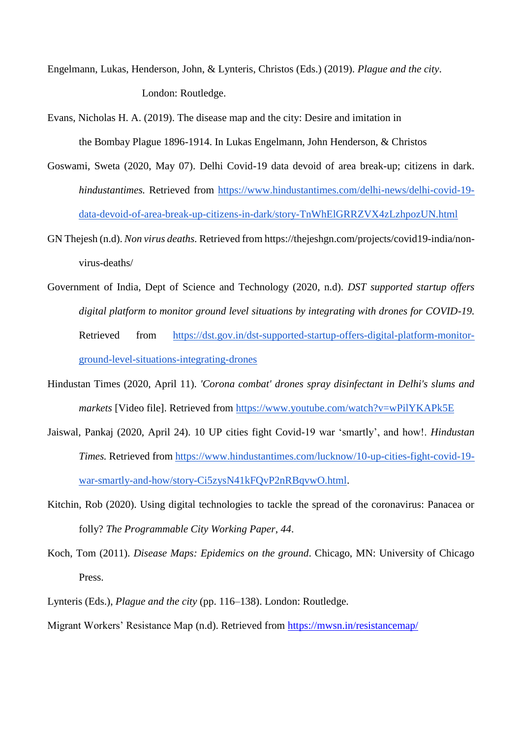- Engelmann, Lukas, Henderson, John, & Lynteris, Christos (Eds.) (2019). *Plague and the city*. London: Routledge.
- Evans, Nicholas H. A. (2019). The disease map and the city: Desire and imitation in the Bombay Plague 1896-1914. In Lukas Engelmann, John Henderson, & Christos
- Goswami, Sweta (2020, May 07). Delhi Covid-19 data devoid of area break-up; citizens in dark. *hindustantimes.* Retrieved fro[m](https://www.hindustantimes.com/delhi-news/delhi-covid-19-data-devoid-of-area-break-up-citizens-in-dark/story-TnWhElGRRZVX4zLzhpozUN.html) [https://www.hindustantimes.com/delhi-news/delhi-covid-19](https://www.hindustantimes.com/delhi-news/delhi-covid-19-data-devoid-of-area-break-up-citizens-in-dark/story-TnWhElGRRZVX4zLzhpozUN.html) [data-devoid-of-area-break-up-citizens-in-dark/story-TnWhElGRRZVX4zLzhpozUN.html](https://www.hindustantimes.com/delhi-news/delhi-covid-19-data-devoid-of-area-break-up-citizens-in-dark/story-TnWhElGRRZVX4zLzhpozUN.html)
- GN Thejesh (n.d). *Non virus deaths.* Retrieved from https://thejeshgn.com/projects/covid19-india/nonvirus-deaths/
- Government of India, Dept of Science and Technology (2020, n.d). *DST supported startup offers digital platform to monitor ground level situations by integrating with drones for COVID-19.* Retrieved from [https://dst.gov.in/dst-supported-startup-offers-digital-platform-monitor](https://dst.gov.in/dst-supported-startup-offers-digital-platform-monitor-ground-level-situations-integrating-drones)[ground-level-situations-integrating-drones](https://dst.gov.in/dst-supported-startup-offers-digital-platform-monitor-ground-level-situations-integrating-drones)
- Hindustan Times (2020, April 11). *'Corona combat' drones spray disinfectant in Delhi's slums and markets* [Video file]. Retrieved from <https://www.youtube.com/watch?v=wPilYKAPk5E>
- Jaiswal, Pankaj (2020, April 24). 10 UP cities fight Covid-19 war 'smartly', and how!. *Hindustan Times.* Retrieved fro[m](https://www.hindustantimes.com/lucknow/10-up-cities-fight-covid-19-war-smartly-and-how/story-Ci5zysN41kFQvP2nRBqvwO.html) [https://www.hindustantimes.com/lucknow/10-up-cities-fight-covid-19](https://www.hindustantimes.com/lucknow/10-up-cities-fight-covid-19-war-smartly-and-how/story-Ci5zysN41kFQvP2nRBqvwO.html) [war-smartly-and-how/story-Ci5zysN41kFQvP2nRBqvwO.html.](https://www.hindustantimes.com/lucknow/10-up-cities-fight-covid-19-war-smartly-and-how/story-Ci5zysN41kFQvP2nRBqvwO.html)
- Kitchin, Rob (2020). Using digital technologies to tackle the spread of the coronavirus: Panacea or folly? *The Programmable City Working Paper*, *44*.
- Koch, Tom (2011). *Disease Maps: Epidemics on the ground*. Chicago, MN: University of Chicago Press.
- Lynteris (Eds.), *Plague and the city* (pp. 116–138). London: Routledge.
- Migrant Workers' Resistance Map (n.d). Retrieved from<https://mwsn.in/resistancemap/>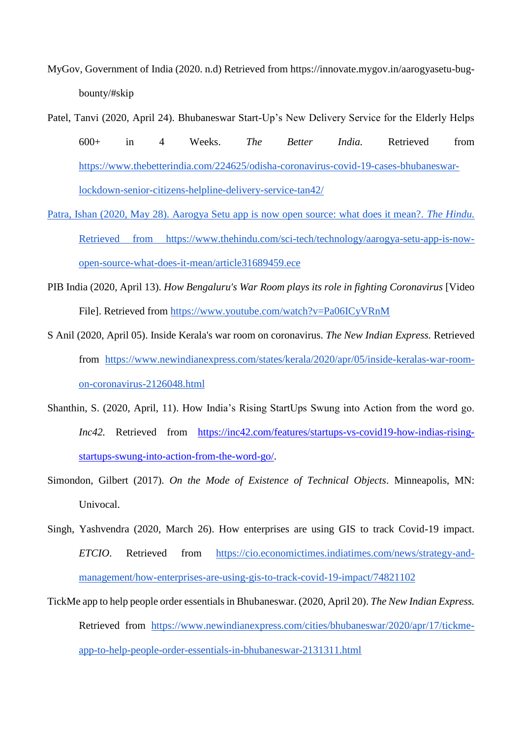- MyGov, Government of India (2020. n.d) Retrieved from https://innovate.mygov.in/aarogyasetu-bugbounty/#skip
- Patel, Tanvi (2020, April 24). Bhubaneswar Start-Up's New Delivery Service for the Elderly Helps 600+ in 4 Weeks. *The Better India.* Retrieved fro[m](https://www.thebetterindia.com/224625/odisha-coronavirus-covid-19-cases-bhubaneswar-lockdown-senior-citizens-helpline-delivery-service-tan42/) [https://www.thebetterindia.com/224625/odisha-coronavirus-covid-19-cases-bhubaneswar](https://www.thebetterindia.com/224625/odisha-coronavirus-covid-19-cases-bhubaneswar-lockdown-senior-citizens-helpline-delivery-service-tan42/)[lockdown-senior-citizens-helpline-delivery-service-tan42/](https://www.thebetterindia.com/224625/odisha-coronavirus-covid-19-cases-bhubaneswar-lockdown-senior-citizens-helpline-delivery-service-tan42/)
- Patra, Ishan (2020, May 28). Aarogya Setu app is now open source: what does it mean?. *The Hindu.* Retrieved from https://www.thehindu.com/sci-tech/technology/aarogya-setu-app-is-nowopen-source-what-does-it-mean/article31689459.ece
- PIB India (2020, April 13). *How Bengaluru's War Room plays its role in fighting Coronavirus* [Video File]. Retrieved fro[m](https://www.youtube.com/watch?v=Pa06ICyVRnM) <https://www.youtube.com/watch?v=Pa06ICyVRnM>
- S Anil (2020, April 05). Inside Kerala's war room on coronavirus. *The New Indian Express.* Retrieved fro[m](https://www.newindianexpress.com/states/kerala/2020/apr/05/inside-keralas-war-room-on-coronavirus-2126048.html) [https://www.newindianexpress.com/states/kerala/2020/apr/05/inside-keralas-war-room](https://www.newindianexpress.com/states/kerala/2020/apr/05/inside-keralas-war-room-on-coronavirus-2126048.html)[on-coronavirus-2126048.html](https://www.newindianexpress.com/states/kerala/2020/apr/05/inside-keralas-war-room-on-coronavirus-2126048.html)
- Shanthin, S. (2020, April, 11). How India's Rising StartUps Swung into Action from the word go. *Inc42.* Retrieved from [https://inc42.com/features/startups-vs-covid19-how-indias-rising](https://inc42.com/features/startups-vs-covid19-how-indias-rising-startups-swung-into-action-from-the-word-go/)[startups-swung-into-action-from-the-word-go/.](https://inc42.com/features/startups-vs-covid19-how-indias-rising-startups-swung-into-action-from-the-word-go/)
- Simondon, Gilbert (2017). *On the Mode of Existence of Technical Objects*. Minneapolis, MN: Univocal.
- Singh, Yashvendra (2020, March 26). How enterprises are using GIS to track Covid-19 impact. *ETCIO*. Retrieved from [https://cio.economictimes.indiatimes.com/news/strategy-and](https://cio.economictimes.indiatimes.com/news/strategy-and-management/how-enterprises-are-using-gis-to-track-covid-19-impact/74821102)[management/how-enterprises-are-using-gis-to-track-covid-19-impact/74821102](https://cio.economictimes.indiatimes.com/news/strategy-and-management/how-enterprises-are-using-gis-to-track-covid-19-impact/74821102)
- TickMe app to help people order essentials in Bhubaneswar. (2020, April 20). *The New Indian Express.*  Retrieved from [https://www.newindianexpress.com/cities/bhubaneswar/2020/apr/17/tickme](https://www.newindianexpress.com/cities/bhubaneswar/2020/apr/17/tickme-app-to-help-people-order-essentials-in-bhubaneswar-2131311.html)[app-to-help-people-order-essentials-in-bhubaneswar-2131311.html](https://www.newindianexpress.com/cities/bhubaneswar/2020/apr/17/tickme-app-to-help-people-order-essentials-in-bhubaneswar-2131311.html)